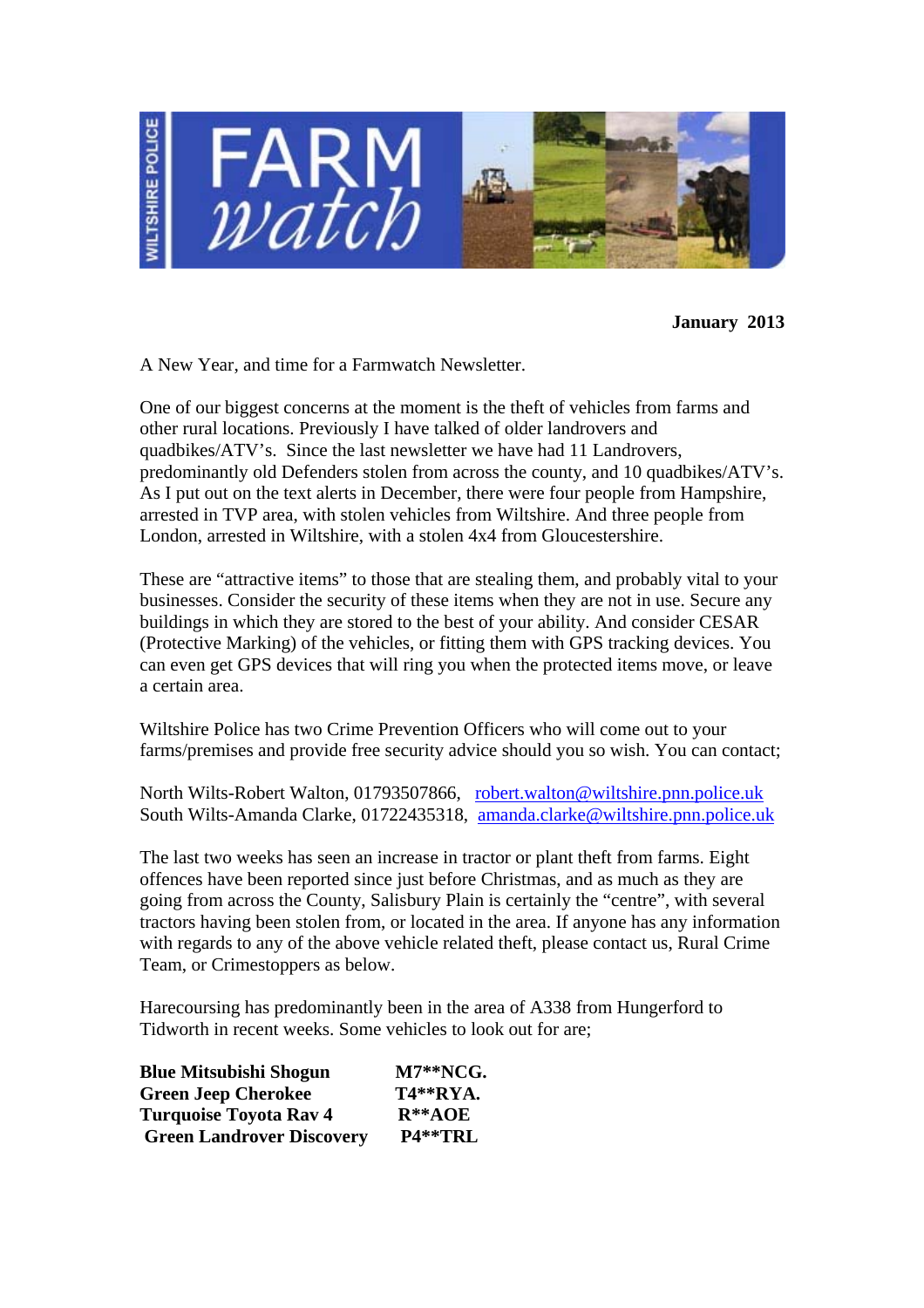

**January 2013**

A New Year, and time for a Farmwatch Newsletter.

One of our biggest concerns at the moment is the theft of vehicles from farms and other rural locations. Previously I have talked of older landrovers and quadbikes/ATV's. Since the last newsletter we have had 11 Landrovers, predominantly old Defenders stolen from across the county, and 10 quadbikes/ATV's. As I put out on the text alerts in December, there were four people from Hampshire, arrested in TVP area, with stolen vehicles from Wiltshire. And three people from London, arrested in Wiltshire, with a stolen 4x4 from Gloucestershire.

These are "attractive items" to those that are stealing them, and probably vital to your businesses. Consider the security of these items when they are not in use. Secure any buildings in which they are stored to the best of your ability. And consider CESAR (Protective Marking) of the vehicles, or fitting them with GPS tracking devices. You can even get GPS devices that will ring you when the protected items move, or leave a certain area.

Wiltshire Police has two Crime Prevention Officers who will come out to your farms/premises and provide free security advice should you so wish. You can contact;

North Wilts-Robert Walton, 01793507866, robert.walton@wiltshire.pnn.police.uk South Wilts-Amanda Clarke, 01722435318, amanda.clarke@wiltshire.pnn.police.uk

The last two weeks has seen an increase in tractor or plant theft from farms. Eight offences have been reported since just before Christmas, and as much as they are going from across the County, Salisbury Plain is certainly the "centre", with several tractors having been stolen from, or located in the area. If anyone has any information with regards to any of the above vehicle related theft, please contact us, Rural Crime Team, or Crimestoppers as below.

Harecoursing has predominantly been in the area of A338 from Hungerford to Tidworth in recent weeks. Some vehicles to look out for are;

| <b>Blue Mitsubishi Shogun</b>    | $M7**NCG.$      |
|----------------------------------|-----------------|
| <b>Green Jeep Cherokee</b>       | <b>T4**RYA.</b> |
| <b>Turquoise Toyota Rav 4</b>    | $R**AOE$        |
| <b>Green Landrover Discovery</b> | P4**TRL         |